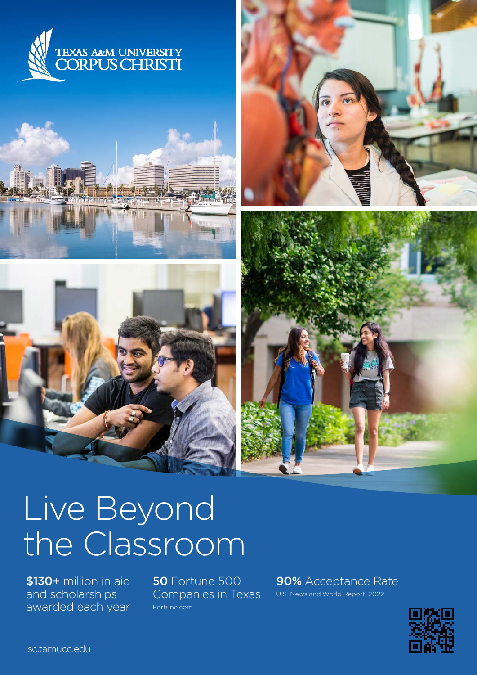









# Live Beyond the Classroom

\$130+ million in aid and scholarships awarded each year 50 Fortune 500 Companies in Texas [Fortune.com](http://Fortune.com)

90% Acceptance Rate U.S. News and World Report, 2022

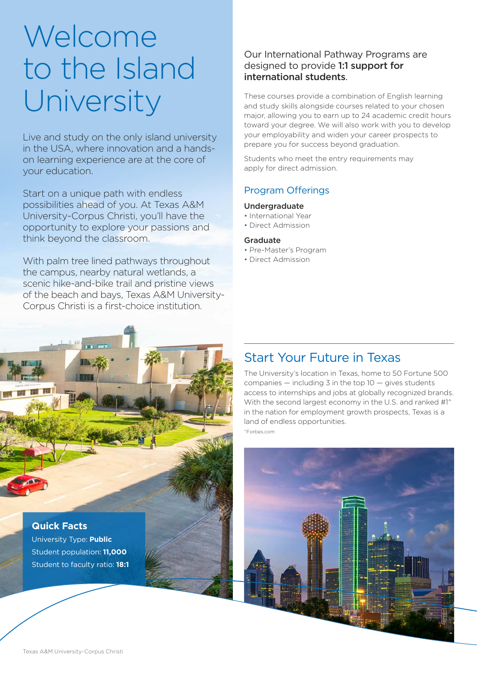## Welcome to the Island University

Live and study on the only island university in the USA, where innovation and a handson learning experience are at the core of your education.

Start on a unique path with endless possibilities ahead of you. At Texas A&M University-Corpus Christi, you'll have the opportunity to explore your passions and think beyond the classroom.

With palm tree lined pathways throughout the campus, nearby natural wetlands, a scenic hike-and-bike trail and pristine views of the beach and bays, Texas A&M University-Corpus Christi is a first-choice institution.

## Our International Pathway Programs are designed to provide 1:1 support for international students.

These courses provide a combination of English learning and study skills alongside courses related to your chosen major, allowing you to earn up to 24 academic credit hours toward your degree. We will also work with you to develop your employability and widen your career prospects to prepare you for success beyond graduation.

Students who meet the entry requirements may apply for direct admission.

## Program Offerings

## Undergraduate

- International Year
- Direct Admission

## Graduate

- Pre-Master's Program
- Direct Admission

## Start Your Future in Texas

The University's location in Texas, home to 50 Fortune 500 companies  $-$  including 3 in the top  $10 -$  gives students access to internships and jobs at globally recognized brands. With the second largest economy in the U.S. and ranked #1^ in the nation for employment growth prospects, Texas is a land of endless opportunities. ^[Forbes.com](http://Forbes.com)



**Quick Facts**

University Type: **Public** Student population: **11,000** Student to faculty ratio: **18:1**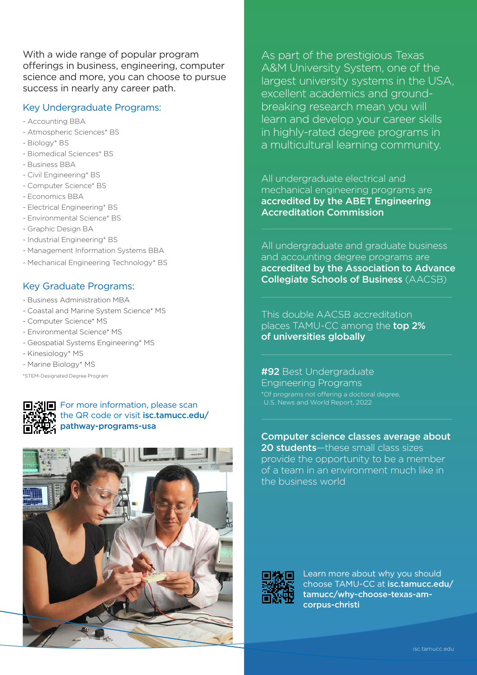With a wide range of popular program offerings in business, engineering, computer science and more, you can choose to pursue success in nearly any career path.

## Key Undergraduate Programs:

- Accounting BBA
- Atmospheric Sciences\* BS
- Biology\* BS
- Biomedical Sciences\* BS
- Business BBA
- Civil Engineering\* BS
- Computer Science\* BS
- Economics BBA
- Electrical Engineering\* BS
- Environmental Science\* BS
- Graphic Design BA
- Industrial Engineering\* BS
- Management Information Systems BBA
- Mechanical Engineering Technology\* BS

## Key Graduate Programs:

- Business Administration MBA
- Coastal and Marine System Science\* MS
- Computer Science\* MS
- Environmental Science\* MS
- Geospatial Systems Engineering\* MS
- Kinesiology\* MS
- Marine Biology\* MS

\*STEM-Designated Degree Program

 $T\blacksquare$  For more information, please scan the QR code or visit [isc.tamucc.edu/](http://isc.tamucc.edu/pathway-programs-usa) [pathway-programs-usa](http://isc.tamucc.edu/pathway-programs-usa)



As part of the prestigious Texas A&M University System, one of the largest university systems in the USA, excellent academics and groundbreaking research mean you will learn and develop your career skills in highly-rated degree programs in a multicultural learning community.

All undergraduate electrical and mechanical engineering programs are accredited by the ABET Engineering Accreditation Commission

All undergraduate and graduate business and accounting degree programs are accredited by the Association to Advance Collegiate Schools of Business (AACSB)

This double AACSB accreditation places TAMU-CC among the top 2% of universities globally

#92 Best Undergraduate Engineering Programs \*Of programs not offering a doctoral degree, U.S. News and World Report, 2022

Computer science classes average about 20 students—these small class sizes provide the opportunity to be a member of a team in an environment much like in the business world



Learn more about why you should choose TAMU-CC at [isc.tamucc.edu/](http://isc.tamucc.edu/tamucc/why-choose-texas-am-corpus-christi) [tamucc/why-choose-texas-am](http://isc.tamucc.edu/tamucc/why-choose-texas-am-corpus-christi)[corpus-christi](http://isc.tamucc.edu/tamucc/why-choose-texas-am-corpus-christi)